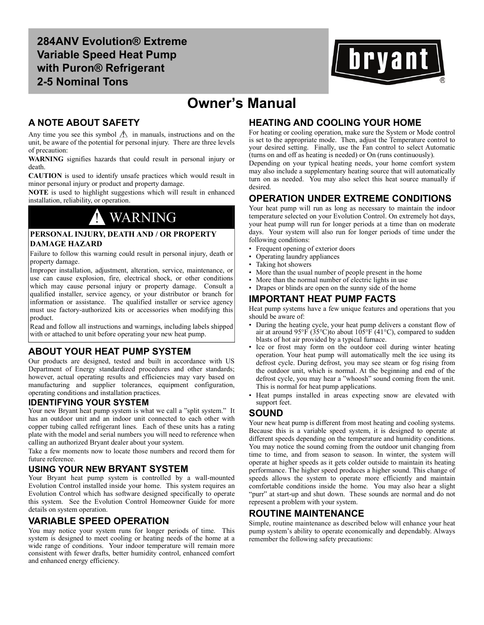**284ANV Evolution® Extreme Variable Speed Heat Pump with Puron® Refrigerant 2-5 Nominal Tons**



## **Owner's Manual**

## **A NOTE ABOUT SAFETY**

Any time you see this symbol  $\Lambda$  in manuals, instructions and on the unit, be aware of the potential for personal injury. There are three levels of precaution:

**WARNING** signifies hazards that could result in personal injury or death.

**CAUTION** is used to identify unsafe practices which would result in minor personal injury or product and property damage.

**NOTE** is used to highlight suggestions which will result in enhanced installation, reliability, or operation.

## ! WARNING

### **PERSONAL INJURY, DEATH AND / OR PROPERTY DAMAGE HAZARD**

Failure to follow this warning could result in personal injury, death or property damage.

Improper installation, adjustment, alteration, service, maintenance, or use can cause explosion, fire, electrical shock, or other conditions which may cause personal injury or property damage. Consult a qualified installer, service agency, or your distributor or branch for information or assistance. The qualified installer or service agency must use factory-authorized kits or accessories when modifying this product.

Read and follow all instructions and warnings, including labels shipped with or attached to unit before operating your new heat pump.

## **ABOUT YOUR HEAT PUMP SYSTEM**

Our products are designed, tested and built in accordance with US Department of Energy standardized procedures and other standards; however, actual operating results and efficiencies may vary based on manufacturing and supplier tolerances, equipment configuration, operating conditions and installation practices.

### **IDENTIFYING YOUR SYSTEM**

Your new Bryant heat pump system is what we call a "split system." It has an outdoor unit and an indoor unit connected to each other with copper tubing called refrigerant lines. Each of these units has a rating plate with the model and serial numbers you will need to reference when calling an authorized Bryant dealer about your system.

Take a few moments now to locate those numbers and record them for future reference.

## **USING YOUR NEW BRYANT SYSTEM**

Your Bryant heat pump system is controlled by a wall-mounted Evolution Control installed inside your home. This system requires an Evolution Control which has software designed specifically to operate this system. See the Evolution Control Homeowner Guide for more details on system operation.

## **VARIABLE SPEED OPERATION**

You may notice your system runs for longer periods of time. This system is designed to meet cooling or heating needs of the home at a wide range of conditions. Your indoor temperature will remain more consistent with fewer drafts, better humidity control, enhanced comfort and enhanced energy efficiency.

## **HEATING AND COOLING YOUR HOME**

For heating or cooling operation, make sure the System or Mode control is set to the appropriate mode. Then, adjust the Temperature control to your desired setting. Finally, use the Fan control to select Automatic (turns on and off as heating is needed) or On (runs continuously).

Depending on your typical heating needs, your home comfort system may also include a supplementary heating source that will automatically turn on as needed. You may also select this heat source manually if desired.

## **OPERATION UNDER EXTREME CONDITIONS**

Your heat pump will run as long as necessary to maintain the indoor temperature selected on your Evolution Control. On extremely hot days, your heat pump will run for longer periods at a time than on moderate days. Your system will also run for longer periods of time under the following conditions:

- Frequent opening of exterior doors
- Operating laundry appliances
- Taking hot showers
- More than the usual number of people present in the home
- More than the normal number of electric lights in use
- Drapes or blinds are open on the sunny side of the home

## **IMPORTANT HEAT PUMP FACTS**

Heat pump systems have a few unique features and operations that you should be aware of:

- During the heating cycle, your heat pump delivers a constant flow of air at around  $95^{\circ}F (35^{\circ}C)$ to about  $105^{\circ}F (41^{\circ}C)$ , compared to sudden blasts of hot air provided by a typical furnace.
- Ice or frost may form on the outdoor coil during winter heating operation. Your heat pump will automatically melt the ice using its defrost cycle. During defrost, you may see steam or fog rising from the outdoor unit, which is normal. At the beginning and end of the defrost cycle, you may hear a "whoosh" sound coming from the unit. This is normal for heat pump applications.
- Heat pumps installed in areas expecting snow are elevated with support feet.

## **SOUND**

Your new heat pump is different from most heating and cooling systems. Because this is a variable speed system, it is designed to operate at different speeds depending on the temperature and humidity conditions. You may notice the sound coming from the outdoor unit changing from time to time, and from season to season. In winter, the system will operate at higher speeds as it gets colder outside to maintain its heating performance. The higher speed produces a higher sound. This change of speeds allows the system to operate more efficiently and maintain comfortable conditions inside the home. You may also hear a slight "purr" at start-up and shut down. These sounds are normal and do not represent a problem with your system.

## **ROUTINE MAINTENANCE**

Simple, routine maintenance as described below will enhance your heat pump system's ability to operate economically and dependably. Always remember the following safety precautions: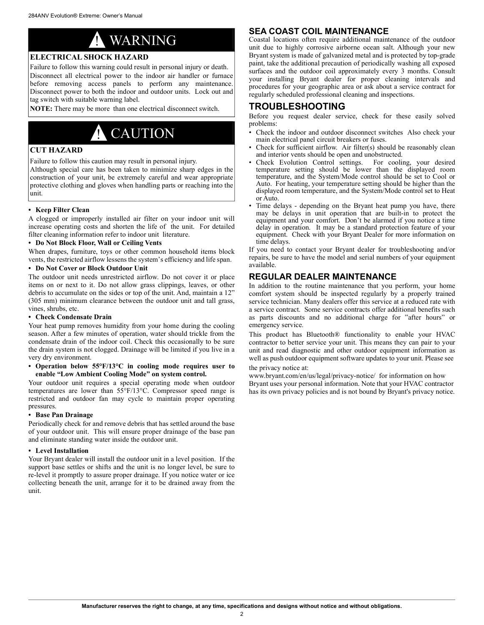

### **ELECTRICAL SHOCK HAZARD**

Failure to follow this warning could result in personal injury or death. Disconnect all electrical power to the indoor air handler or furnace before removing access panels to perform any maintenance. Disconnect power to both the indoor and outdoor units. Lock out and tag switch with suitable warning label.

**NOTE:** There may be more than one electrical disconnect switch.

# **CAUTION**

### **CUT HAZARD**

Failure to follow this caution may result in personal injury.

Although special care has been taken to minimize sharp edges in the construction of your unit, be extremely careful and wear appropriate protective clothing and gloves when handling parts or reaching into the unit.

### **• Keep Filter Clean**

A clogged or improperly installed air filter on your indoor unit will increase operating costs and shorten the life of the unit. For detailed filter cleaning information refer to indoor unit literature.

### **• Do Not Block Floor, Wall or Ceiling Vents**

When drapes, furniture, toys or other common household items block vents, the restricted airflow lessens the system's efficiency and life span.

### **• Do Not Cover or Block Outdoor Unit**

The outdoor unit needs unrestricted airflow. Do not cover it or place items on or next to it. Do not allow grass clippings, leaves, or other debris to accumulate on the sides or top of the unit. And, maintain a 12" (305 mm) minimum clearance between the outdoor unit and tall grass, vines, shrubs, etc.

### **• Check Condensate Drain**

Your heat pump removes humidity from your home during the cooling season. After a few minutes of operation, water should trickle from the condensate drain of the indoor coil. Check this occasionally to be sure the drain system is not clogged. Drainage will be limited if you live in a very dry environment.

#### **• Operation below 55°F/13°C in cooling mode requires user to enable "Low Ambient Cooling Mode" on system control.**

Your outdoor unit requires a special operating mode when outdoor temperatures are lower than 55°F/13°C. Compressor speed range is restricted and outdoor fan may cycle to maintain proper operating pressures.

### **• Base Pan Drainage**

Periodically check for and remove debris that has settled around the base of your outdoor unit. This will ensure proper drainage of the base pan and eliminate standing water inside the outdoor unit.

### **• Level Installation**

Your Bryant dealer will install the outdoor unit in a level position. If the support base settles or shifts and the unit is no longer level, be sure to re-level it promptly to assure proper drainage. If you notice water or ice collecting beneath the unit, arrange for it to be drained away from the unit.

## **SEA COAST COIL MAINTENANCE**

Coastal locations often require additional maintenance of the outdoor unit due to highly corrosive airborne ocean salt. Although your new Bryant system is made of galvanized metal and is protected by top-grade paint, take the additional precaution of periodically washing all exposed surfaces and the outdoor coil approximately every 3 months. Consult your installing Bryant dealer for proper cleaning intervals and procedures for your geographic area or ask about a service contract for regularly scheduled professional cleaning and inspections.

## **TROUBLESHOOTING**

Before you request dealer service, check for these easily solved problems:

- Check the indoor and outdoor disconnect switches Also check your main electrical panel circuit breakers or fuses.
- Check for sufficient airflow. Air filter(s) should be reasonably clean and interior vents should be open and unobstructed.
- Check Evolution Control settings. For cooling, your desired temperature setting should be lower than the displayed room temperature, and the System/Mode control should be set to Cool or Auto. For heating, your temperature setting should be higher than the displayed room temperature, and the System/Mode control set to Heat or Auto.
- Time delays depending on the Bryant heat pump you have, there may be delays in unit operation that are built-in to protect the equipment and your comfort. Don't be alarmed if you notice a time delay in operation. It may be a standard protection feature of your equipment. Check with your Bryant Dealer for more information on time delays.

If you need to contact your Bryant dealer for troubleshooting and/or repairs, be sure to have the model and serial numbers of your equipment available.

## **REGULAR DEALER MAINTENANCE**

In addition to the routine maintenance that you perform, your home comfort system should be inspected regularly by a properly trained service technician. Many dealers offer this service at a reduced rate with a service contract. Some service contracts offer additional benefits such as parts discounts and no additional charge for "after hours" or emergency service.

This product has Bluetooth® functionality to enable your HVAC contractor to better service your unit. This means they can pair to your unit and read diagnostic and other outdoor equipment information as well as push outdoor equipment software updates to your unit. Please see

the privacy notice at:

www.bryant.com/en/us/legal/privacy-notice/ for information on how Bryant uses your personal information. Note that your HVAC contractor has its own privacy policies and is not bound by Bryant's privacy notice.

2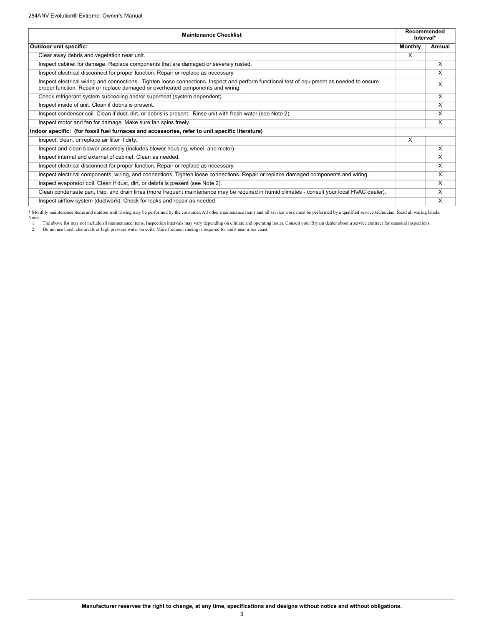| <b>Maintenance Checklist</b>                                                                                                                                                                                                  | Recommended<br>Interval* |        |
|-------------------------------------------------------------------------------------------------------------------------------------------------------------------------------------------------------------------------------|--------------------------|--------|
| Outdoor unit specific:                                                                                                                                                                                                        | <b>Monthly</b>           | Annual |
| Clear away debris and vegetation near unit.                                                                                                                                                                                   | $\times$                 |        |
| Inspect cabinet for damage. Replace components that are damaged or severely rusted.                                                                                                                                           |                          | x      |
| Inspect electrical disconnect for proper function. Repair or replace as necessary.                                                                                                                                            |                          | X      |
| Inspect electrical wiring and connections. Tighten loose connections. Inspect and perform functional test of equipment as needed to ensure<br>proper function. Repair or replace damaged or overheated components and wiring. |                          | x      |
| Check refrigerant system subcooling and/or superheat (system dependent).                                                                                                                                                      |                          | X      |
| Inspect inside of unit. Clean if debris is present.                                                                                                                                                                           |                          | X      |
| Inspect condenser coil. Clean if dust, dirt, or debris is present. Rinse unit with fresh water (see Note 2).                                                                                                                  |                          | X      |
| Inspect motor and fan for damage. Make sure fan spins freely.                                                                                                                                                                 |                          | X      |
| Indoor specific: (for fossil fuel furnaces and accessories, refer to unit specific literature)                                                                                                                                |                          |        |
| Inspect, clean, or replace air filter if dirty.                                                                                                                                                                               | X                        |        |
| Inspect and clean blower assembly (includes blower housing, wheel, and motor).                                                                                                                                                |                          | X      |
| Inspect internal and external of cabinet. Clean as needed.                                                                                                                                                                    |                          | X      |
| Inspect electrical disconnect for proper function. Repair or replace as necessary.                                                                                                                                            |                          | x      |
| Inspect electrical components, wiring, and connections. Tighten loose connections. Repair or replace damaged components and wiring.                                                                                           |                          | X      |
| Inspect evaporator coil. Clean if dust, dirt, or debris is present (see Note 2).                                                                                                                                              |                          | X      |
| Clean condensate pan, trap, and drain lines (more frequent maintenance may be required in humid climates - consult your local HVAC dealer).                                                                                   |                          | X      |
| Inspect airflow system (ductwork). Check for leaks and repair as needed.                                                                                                                                                      |                          | X      |

\* Monthly maintenance items and outdoor unit rinsing may be performed by the consumer. All other maintenance items and all service work must be performed by a qualified service technician. Read all waring labels.

Notes:<br>1. The above list may not include all maintenance items. Inspection intervals may vary depending on climate and operating hours. Consult your Bryant dealer about a service contract for seasonal inspections.<br>2. Do no